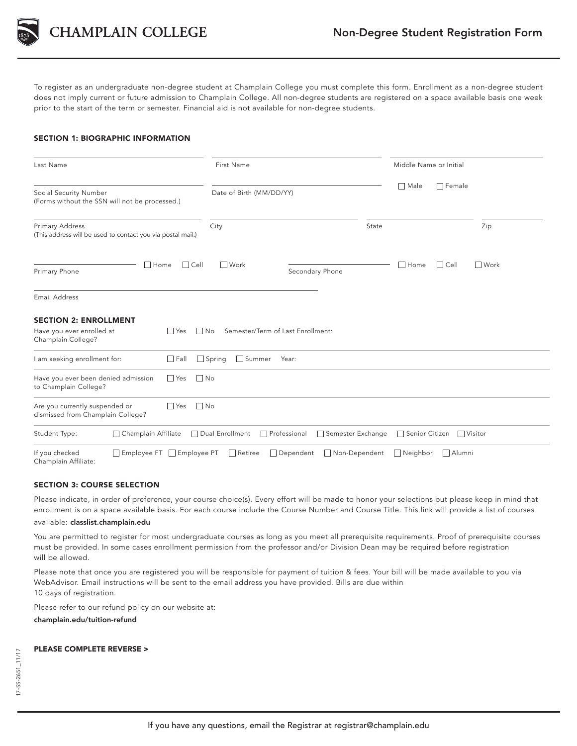

CHAMPLAIN COLLEGE

To register as an undergraduate non-degree student at Champlain College you must complete this form. Enrollment as a non-degree student does not imply current or future admission to Champlain College. All non-degree students are registered on a space available basis one week prior to the start of the term or semester. Financial aid is not available for non-degree students.

# SECTION 1: BIOGRAPHIC INFORMATION

| Last Name<br>Social Security Number<br>(Forms without the SSN will not be processed.) |                                                                                                                   | First Name<br>Date of Birth (MM/DD/YY) |                                   |               | Middle Name or Initial |               |               |
|---------------------------------------------------------------------------------------|-------------------------------------------------------------------------------------------------------------------|----------------------------------------|-----------------------------------|---------------|------------------------|---------------|---------------|
|                                                                                       |                                                                                                                   |                                        |                                   |               | $\Box$ Male            | $\Box$ Female |               |
| Primary Address<br>(This address will be used to contact you via postal mail.)        |                                                                                                                   | City                                   |                                   | State         |                        |               | Zip           |
| $\Box$ Home<br>Primary Phone                                                          | $\Box$ Cell                                                                                                       | □ Work                                 | Secondary Phone                   |               | $\Box$ Home            | $\Box$ Cell   | <b>■</b> Work |
| <b>Email Address</b>                                                                  |                                                                                                                   |                                        |                                   |               |                        |               |               |
| <b>SECTION 2: ENROLLMENT</b><br>Have you ever enrolled at<br>Champlain College?       | $\Box$ Yes<br>$\Box$ No                                                                                           |                                        | Semester/Term of Last Enrollment: |               |                        |               |               |
| I am seeking enrollment for:                                                          | $\Box$ Fall                                                                                                       | $\Box$ Spring<br>□ Summer              | Year:                             |               |                        |               |               |
| Have you ever been denied admission<br>to Champlain College?                          | $\Box$ Yes<br>$\Box$ No                                                                                           |                                        |                                   |               |                        |               |               |
| Are you currently suspended or<br>dismissed from Champlain College?                   | $\Box$ No<br>$\Box$ Yes                                                                                           |                                        |                                   |               |                        |               |               |
| Student Type:                                                                         | Champlain Affiliate<br>Dual Enrollment<br>Professional<br>Semester Exchange<br>□ Senior Citizen<br>$\Box$ Visitor |                                        |                                   |               |                        |               |               |
| If you checked<br>□ Employee FT □ Employee PT<br>Champlain Affiliate:                 |                                                                                                                   | $\Box$ Retiree                         | $\Box$ Dependent                  | Non-Dependent | $\Box$ Neighbor        | $\Box$ Alumni |               |

# SECTION 3: COURSE SELECTION

Please indicate, in order of preference, your course choice(s). Every effort will be made to honor your selections but please keep in mind that enrollment is on a space available basis. For each course include the Course Number and Course Title. This link will provide a list of courses

available: classlist.champlain.edu

You are permitted to register for most undergraduate courses as long as you meet all prerequisite requirements. Proof of prerequisite courses must be provided. In some cases enrollment permission from the professor and/or Division Dean may be required before registration will be allowed.

Please note that once you are registered you will be responsible for payment of tuition & fees. Your bill will be made available to you via WebAdvisor. Email instructions will be sent to the email address you have provided. Bills are due within 10 days of registration.

Please refer to our refund policy on our website at:

champlain.edu/tuition-refund

## PLEASE COMPLETE REVERSE >